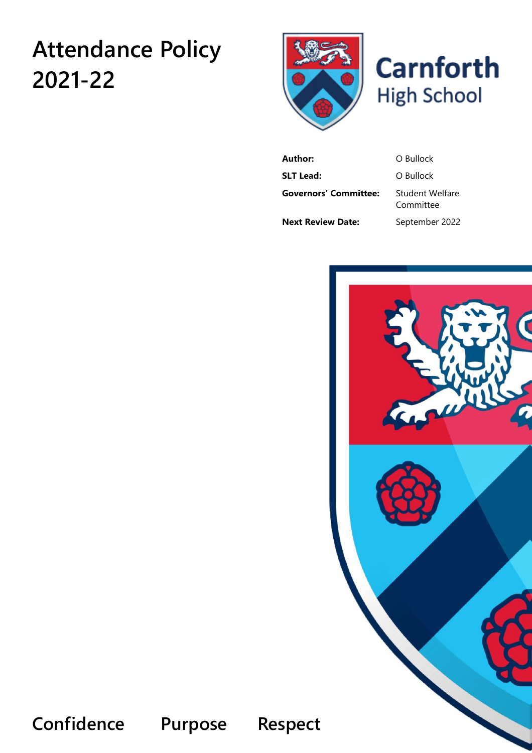# **Attendance Policy 2021-22**





**Author:** O Bullock **SLT Lead:** O Bullock **Governors' Committee:** Student Welfare Committee **Next Review Date:** September 2022



**Confidence Purpose Respect**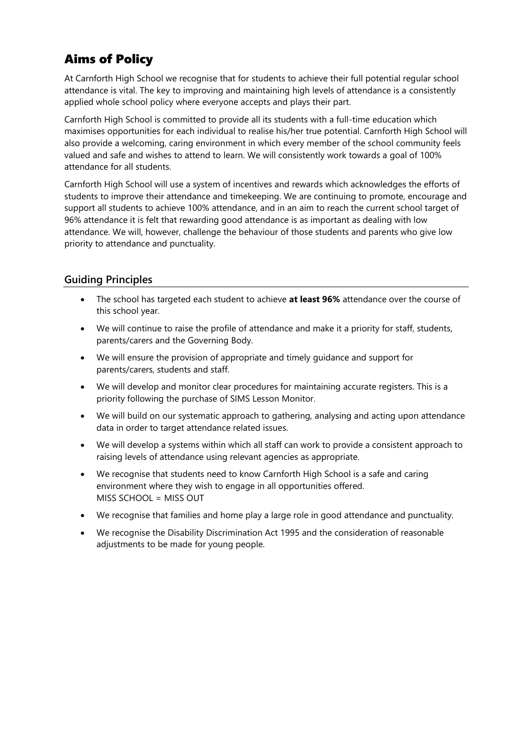# Aims of Policy

At Carnforth High School we recognise that for students to achieve their full potential regular school attendance is vital. The key to improving and maintaining high levels of attendance is a consistently applied whole school policy where everyone accepts and plays their part.

Carnforth High School is committed to provide all its students with a full-time education which maximises opportunities for each individual to realise his/her true potential. Carnforth High School will also provide a welcoming, caring environment in which every member of the school community feels valued and safe and wishes to attend to learn. We will consistently work towards a goal of 100% attendance for all students.

Carnforth High School will use a system of incentives and rewards which acknowledges the efforts of students to improve their attendance and timekeeping. We are continuing to promote, encourage and support all students to achieve 100% attendance, and in an aim to reach the current school target of 96% attendance it is felt that rewarding good attendance is as important as dealing with low attendance. We will, however, challenge the behaviour of those students and parents who give low priority to attendance and punctuality.

# **Guiding Principles**

- The school has targeted each student to achieve **at least 96%** attendance over the course of this school year.
- We will continue to raise the profile of attendance and make it a priority for staff, students, parents/carers and the Governing Body.
- We will ensure the provision of appropriate and timely guidance and support for parents/carers, students and staff.
- We will develop and monitor clear procedures for maintaining accurate registers. This is a priority following the purchase of SIMS Lesson Monitor.
- We will build on our systematic approach to gathering, analysing and acting upon attendance data in order to target attendance related issues.
- We will develop a systems within which all staff can work to provide a consistent approach to raising levels of attendance using relevant agencies as appropriate.
- We recognise that students need to know Carnforth High School is a safe and caring environment where they wish to engage in all opportunities offered. MISS SCHOOL = MISS OUT
- We recognise that families and home play a large role in good attendance and punctuality.
- We recognise the Disability Discrimination Act 1995 and the consideration of reasonable adjustments to be made for young people.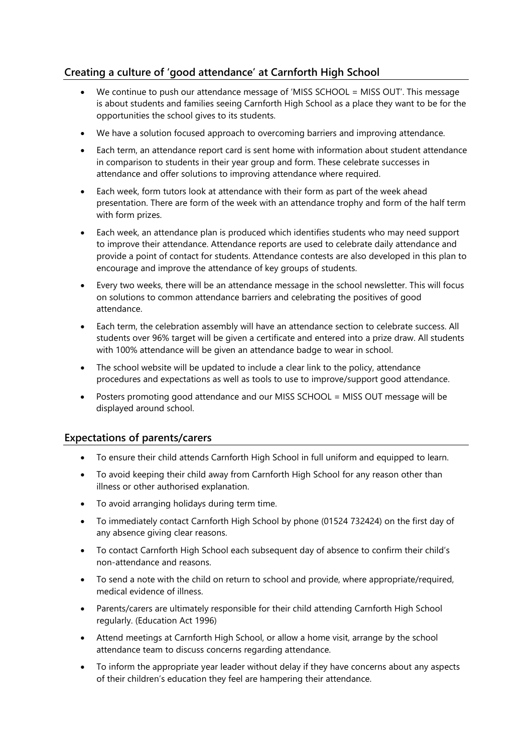# **Creating a culture of 'good attendance' at Carnforth High School**

- We continue to push our attendance message of 'MISS SCHOOL = MISS OUT'. This message is about students and families seeing Carnforth High School as a place they want to be for the opportunities the school gives to its students.
- We have a solution focused approach to overcoming barriers and improving attendance.
- Each term, an attendance report card is sent home with information about student attendance in comparison to students in their year group and form. These celebrate successes in attendance and offer solutions to improving attendance where required.
- Each week, form tutors look at attendance with their form as part of the week ahead presentation. There are form of the week with an attendance trophy and form of the half term with form prizes.
- Each week, an attendance plan is produced which identifies students who may need support to improve their attendance. Attendance reports are used to celebrate daily attendance and provide a point of contact for students. Attendance contests are also developed in this plan to encourage and improve the attendance of key groups of students.
- Every two weeks, there will be an attendance message in the school newsletter. This will focus on solutions to common attendance barriers and celebrating the positives of good attendance.
- Each term, the celebration assembly will have an attendance section to celebrate success. All students over 96% target will be given a certificate and entered into a prize draw. All students with 100% attendance will be given an attendance badge to wear in school.
- The school website will be updated to include a clear link to the policy, attendance procedures and expectations as well as tools to use to improve/support good attendance.
- Posters promoting good attendance and our MISS SCHOOL = MISS OUT message will be displayed around school.

# **Expectations of parents/carers**

- To ensure their child attends Carnforth High School in full uniform and equipped to learn.
- To avoid keeping their child away from Carnforth High School for any reason other than illness or other authorised explanation.
- To avoid arranging holidays during term time.
- To immediately contact Carnforth High School by phone (01524 732424) on the first day of any absence giving clear reasons.
- To contact Carnforth High School each subsequent day of absence to confirm their child's non-attendance and reasons.
- To send a note with the child on return to school and provide, where appropriate/required, medical evidence of illness.
- Parents/carers are ultimately responsible for their child attending Carnforth High School regularly. (Education Act 1996)
- Attend meetings at Carnforth High School, or allow a home visit, arrange by the school attendance team to discuss concerns regarding attendance.
- To inform the appropriate year leader without delay if they have concerns about any aspects of their children's education they feel are hampering their attendance.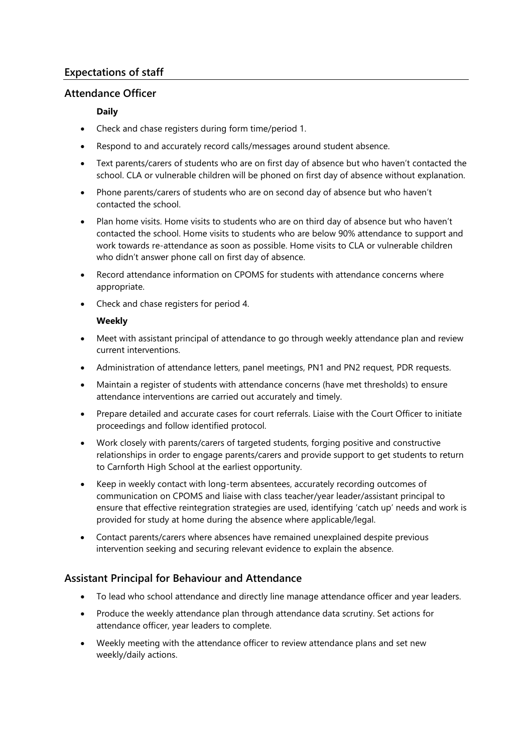# **Expectations of staff**

# **Attendance Officer**

# **Daily**

- Check and chase registers during form time/period 1.
- Respond to and accurately record calls/messages around student absence.
- Text parents/carers of students who are on first day of absence but who haven't contacted the school. CLA or vulnerable children will be phoned on first day of absence without explanation.
- Phone parents/carers of students who are on second day of absence but who haven't contacted the school.
- Plan home visits. Home visits to students who are on third day of absence but who haven't contacted the school. Home visits to students who are below 90% attendance to support and work towards re-attendance as soon as possible. Home visits to CLA or vulnerable children who didn't answer phone call on first day of absence.
- Record attendance information on CPOMS for students with attendance concerns where appropriate.
- Check and chase registers for period 4.

#### **Weekly**

- Meet with assistant principal of attendance to go through weekly attendance plan and review current interventions.
- Administration of attendance letters, panel meetings, PN1 and PN2 request, PDR requests.
- Maintain a register of students with attendance concerns (have met thresholds) to ensure attendance interventions are carried out accurately and timely.
- Prepare detailed and accurate cases for court referrals. Liaise with the Court Officer to initiate proceedings and follow identified protocol.
- Work closely with parents/carers of targeted students, forging positive and constructive relationships in order to engage parents/carers and provide support to get students to return to Carnforth High School at the earliest opportunity.
- Keep in weekly contact with long-term absentees, accurately recording outcomes of communication on CPOMS and liaise with class teacher/year leader/assistant principal to ensure that effective reintegration strategies are used, identifying 'catch up' needs and work is provided for study at home during the absence where applicable/legal.
- Contact parents/carers where absences have remained unexplained despite previous intervention seeking and securing relevant evidence to explain the absence.

# **Assistant Principal for Behaviour and Attendance**

- To lead who school attendance and directly line manage attendance officer and year leaders.
- Produce the weekly attendance plan through attendance data scrutiny. Set actions for attendance officer, year leaders to complete.
- Weekly meeting with the attendance officer to review attendance plans and set new weekly/daily actions.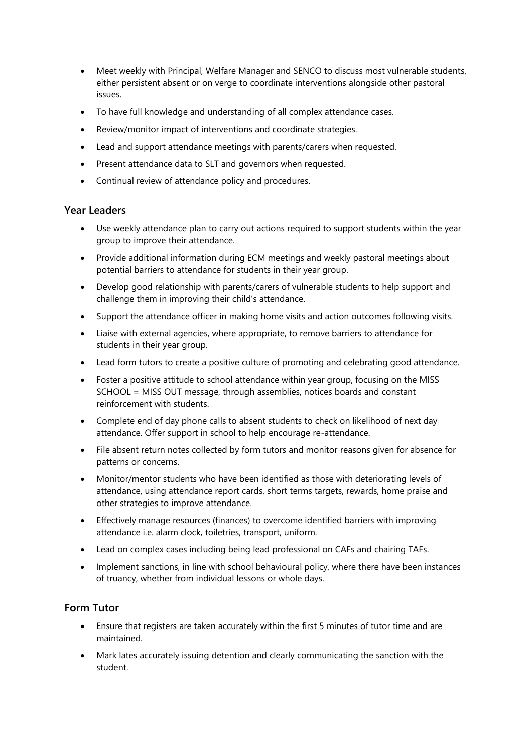- Meet weekly with Principal, Welfare Manager and SENCO to discuss most vulnerable students, either persistent absent or on verge to coordinate interventions alongside other pastoral issues.
- To have full knowledge and understanding of all complex attendance cases.
- Review/monitor impact of interventions and coordinate strategies.
- Lead and support attendance meetings with parents/carers when requested.
- Present attendance data to SLT and governors when requested.
- Continual review of attendance policy and procedures.

# **Year Leaders**

- Use weekly attendance plan to carry out actions required to support students within the year group to improve their attendance.
- Provide additional information during ECM meetings and weekly pastoral meetings about potential barriers to attendance for students in their year group.
- Develop good relationship with parents/carers of vulnerable students to help support and challenge them in improving their child's attendance.
- Support the attendance officer in making home visits and action outcomes following visits.
- Liaise with external agencies, where appropriate, to remove barriers to attendance for students in their year group.
- Lead form tutors to create a positive culture of promoting and celebrating good attendance.
- Foster a positive attitude to school attendance within year group, focusing on the MISS SCHOOL = MISS OUT message, through assemblies, notices boards and constant reinforcement with students.
- Complete end of day phone calls to absent students to check on likelihood of next day attendance. Offer support in school to help encourage re-attendance.
- File absent return notes collected by form tutors and monitor reasons given for absence for patterns or concerns.
- Monitor/mentor students who have been identified as those with deteriorating levels of attendance, using attendance report cards, short terms targets, rewards, home praise and other strategies to improve attendance.
- Effectively manage resources (finances) to overcome identified barriers with improving attendance i.e. alarm clock, toiletries, transport, uniform.
- Lead on complex cases including being lead professional on CAFs and chairing TAFs.
- Implement sanctions, in line with school behavioural policy, where there have been instances of truancy, whether from individual lessons or whole days.

# **Form Tutor**

- Ensure that registers are taken accurately within the first 5 minutes of tutor time and are maintained.
- Mark lates accurately issuing detention and clearly communicating the sanction with the student.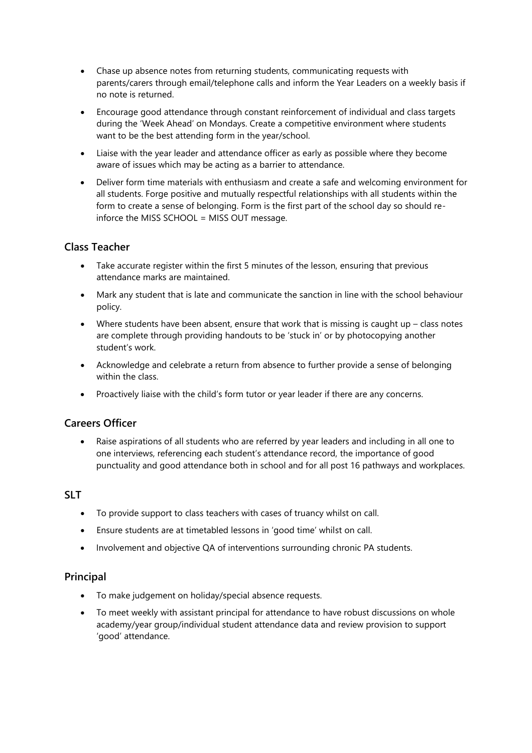- Chase up absence notes from returning students, communicating requests with parents/carers through email/telephone calls and inform the Year Leaders on a weekly basis if no note is returned.
- Encourage good attendance through constant reinforcement of individual and class targets during the 'Week Ahead' on Mondays. Create a competitive environment where students want to be the best attending form in the year/school.
- Liaise with the year leader and attendance officer as early as possible where they become aware of issues which may be acting as a barrier to attendance.
- Deliver form time materials with enthusiasm and create a safe and welcoming environment for all students. Forge positive and mutually respectful relationships with all students within the form to create a sense of belonging. Form is the first part of the school day so should reinforce the MISS SCHOOL = MISS OUT message.

# **Class Teacher**

- Take accurate register within the first 5 minutes of the lesson, ensuring that previous attendance marks are maintained.
- Mark any student that is late and communicate the sanction in line with the school behaviour policy.
- Where students have been absent, ensure that work that is missing is caught up  $-$  class notes are complete through providing handouts to be 'stuck in' or by photocopying another student's work.
- Acknowledge and celebrate a return from absence to further provide a sense of belonging within the class.
- Proactively liaise with the child's form tutor or year leader if there are any concerns.

# **Careers Officer**

• Raise aspirations of all students who are referred by year leaders and including in all one to one interviews, referencing each student's attendance record, the importance of good punctuality and good attendance both in school and for all post 16 pathways and workplaces.

# **SLT**

- To provide support to class teachers with cases of truancy whilst on call.
- Ensure students are at timetabled lessons in 'good time' whilst on call.
- Involvement and objective QA of interventions surrounding chronic PA students.

#### **Principal**

- To make judgement on holiday/special absence requests.
- To meet weekly with assistant principal for attendance to have robust discussions on whole academy/year group/individual student attendance data and review provision to support 'good' attendance.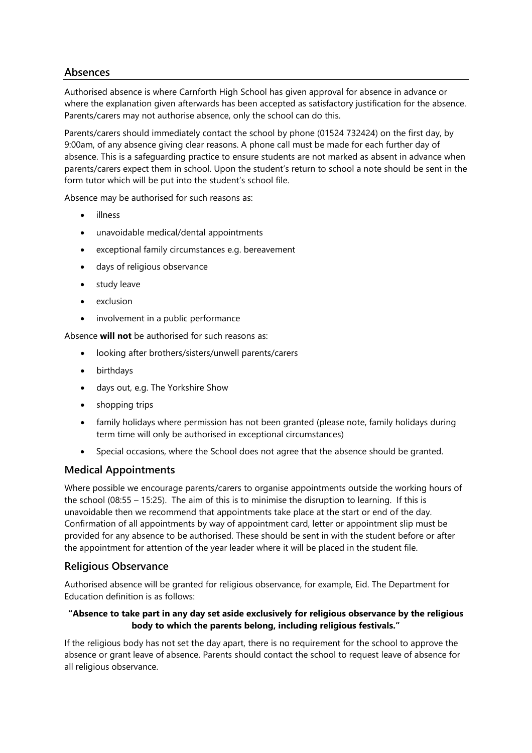# **Absences**

Authorised absence is where Carnforth High School has given approval for absence in advance or where the explanation given afterwards has been accepted as satisfactory justification for the absence. Parents/carers may not authorise absence, only the school can do this.

Parents/carers should immediately contact the school by phone (01524 732424) on the first day, by 9:00am, of any absence giving clear reasons. A phone call must be made for each further day of absence. This is a safeguarding practice to ensure students are not marked as absent in advance when parents/carers expect them in school. Upon the student's return to school a note should be sent in the form tutor which will be put into the student's school file.

Absence may be authorised for such reasons as:

- illness
- unavoidable medical/dental appointments
- exceptional family circumstances e.g. bereavement
- days of religious observance
- study leave
- exclusion
- involvement in a public performance

Absence **will not** be authorised for such reasons as:

- looking after brothers/sisters/unwell parents/carers
- birthdays
- days out, e.g. The Yorkshire Show
- shopping trips
- family holidays where permission has not been granted (please note, family holidays during term time will only be authorised in exceptional circumstances)
- Special occasions, where the School does not agree that the absence should be granted.

#### **Medical Appointments**

Where possible we encourage parents/carers to organise appointments outside the working hours of the school (08:55 – 15:25). The aim of this is to minimise the disruption to learning. If this is unavoidable then we recommend that appointments take place at the start or end of the day. Confirmation of all appointments by way of appointment card, letter or appointment slip must be provided for any absence to be authorised. These should be sent in with the student before or after the appointment for attention of the year leader where it will be placed in the student file.

#### **Religious Observance**

Authorised absence will be granted for religious observance, for example, Eid. The Department for Education definition is as follows:

#### **"Absence to take part in any day set aside exclusively for religious observance by the religious body to which the parents belong, including religious festivals."**

If the religious body has not set the day apart, there is no requirement for the school to approve the absence or grant leave of absence. Parents should contact the school to request leave of absence for all religious observance.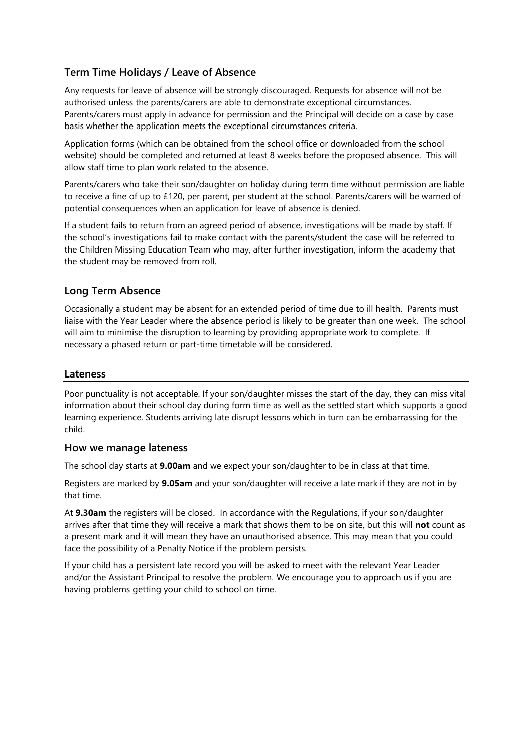# **Term Time Holidays / Leave of Absence**

Any requests for leave of absence will be strongly discouraged. Requests for absence will not be authorised unless the parents/carers are able to demonstrate exceptional circumstances. Parents/carers must apply in advance for permission and the Principal will decide on a case by case basis whether the application meets the exceptional circumstances criteria.

Application forms (which can be obtained from the school office or downloaded from the school website) should be completed and returned at least 8 weeks before the proposed absence. This will allow staff time to plan work related to the absence.

Parents/carers who take their son/daughter on holiday during term time without permission are liable to receive a fine of up to £120, per parent, per student at the school. Parents/carers will be warned of potential consequences when an application for leave of absence is denied.

If a student fails to return from an agreed period of absence, investigations will be made by staff. If the school's investigations fail to make contact with the parents/student the case will be referred to the Children Missing Education Team who may, after further investigation, inform the academy that the student may be removed from roll.

# **Long Term Absence**

Occasionally a student may be absent for an extended period of time due to ill health. Parents must liaise with the Year Leader where the absence period is likely to be greater than one week. The school will aim to minimise the disruption to learning by providing appropriate work to complete. If necessary a phased return or part-time timetable will be considered.

#### **Lateness**

Poor punctuality is not acceptable. If your son/daughter misses the start of the day, they can miss vital information about their school day during form time as well as the settled start which supports a good learning experience. Students arriving late disrupt lessons which in turn can be embarrassing for the child.

#### **How we manage lateness**

The school day starts at **9.00am** and we expect your son/daughter to be in class at that time.

Registers are marked by **9.05am** and your son/daughter will receive a late mark if they are not in by that time.

At **9.30am** the registers will be closed. In accordance with the Regulations, if your son/daughter arrives after that time they will receive a mark that shows them to be on site, but this will **not** count as a present mark and it will mean they have an unauthorised absence. This may mean that you could face the possibility of a Penalty Notice if the problem persists.

If your child has a persistent late record you will be asked to meet with the relevant Year Leader and/or the Assistant Principal to resolve the problem. We encourage you to approach us if you are having problems getting your child to school on time.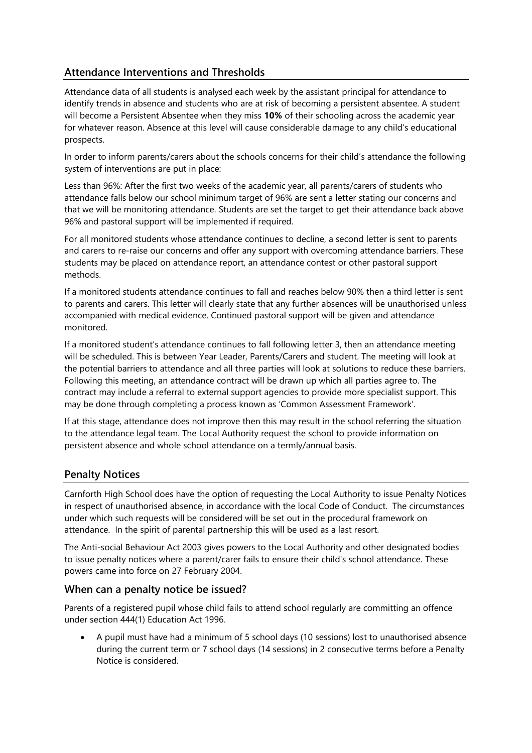# **Attendance Interventions and Thresholds**

Attendance data of all students is analysed each week by the assistant principal for attendance to identify trends in absence and students who are at risk of becoming a persistent absentee. A student will become a Persistent Absentee when they miss **10%** of their schooling across the academic year for whatever reason. Absence at this level will cause considerable damage to any child's educational prospects.

In order to inform parents/carers about the schools concerns for their child's attendance the following system of interventions are put in place:

Less than 96%: After the first two weeks of the academic year, all parents/carers of students who attendance falls below our school minimum target of 96% are sent a letter stating our concerns and that we will be monitoring attendance. Students are set the target to get their attendance back above 96% and pastoral support will be implemented if required.

For all monitored students whose attendance continues to decline, a second letter is sent to parents and carers to re-raise our concerns and offer any support with overcoming attendance barriers. These students may be placed on attendance report, an attendance contest or other pastoral support methods.

If a monitored students attendance continues to fall and reaches below 90% then a third letter is sent to parents and carers. This letter will clearly state that any further absences will be unauthorised unless accompanied with medical evidence. Continued pastoral support will be given and attendance monitored.

If a monitored student's attendance continues to fall following letter 3, then an attendance meeting will be scheduled. This is between Year Leader, Parents/Carers and student. The meeting will look at the potential barriers to attendance and all three parties will look at solutions to reduce these barriers. Following this meeting, an attendance contract will be drawn up which all parties agree to. The contract may include a referral to external support agencies to provide more specialist support. This may be done through completing a process known as 'Common Assessment Framework'.

If at this stage, attendance does not improve then this may result in the school referring the situation to the attendance legal team. The Local Authority request the school to provide information on persistent absence and whole school attendance on a termly/annual basis.

# **Penalty Notices**

Carnforth High School does have the option of requesting the Local Authority to issue Penalty Notices in respect of unauthorised absence, in accordance with the local Code of Conduct. The circumstances under which such requests will be considered will be set out in the procedural framework on attendance. In the spirit of parental partnership this will be used as a last resort.

The [Anti-social Behaviour Act 2003](http://www.legislation.gov.uk/ukpga/2003/38/contents) gives powers to the Local Authority and other designated bodies to issue penalty notices where a parent/carer fails to ensure their child's school attendance. These powers came into force on 27 February 2004.

#### **When can a penalty notice be issued?**

Parents of a registered pupil whose child fails to attend school regularly are committing an offence under section [444\(1\) Education Act 1996.](http://www.legislation.gov.uk/ukpga/1996/56/section/444)

• A pupil must have had a minimum of 5 school days (10 sessions) lost to unauthorised absence during the current term or 7 school days (14 sessions) in 2 consecutive terms before a Penalty Notice is considered.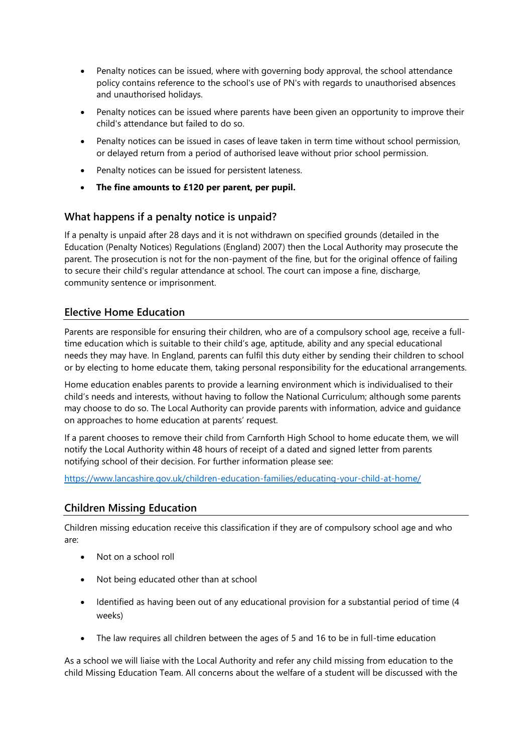- Penalty notices can be issued, where with governing body approval, the school attendance policy contains reference to the school's use of PN's with regards to unauthorised absences and unauthorised holidays.
- Penalty notices can be issued where parents have been given an opportunity to improve their child's attendance but failed to do so.
- Penalty notices can be issued in cases of leave taken in term time without school permission, or delayed return from a period of authorised leave without prior school permission.
- Penalty notices can be issued for persistent lateness.
- **The fine amounts to £120 per parent, per pupil.**

#### **What happens if a penalty notice is unpaid?**

If a penalty is unpaid after 28 days and it is not withdrawn on specified grounds (detailed in the [Education \(Penalty Notices\) Regulations \(England\) 2007\)](http://www.legislation.gov.uk/uksi/2007/1867/contents/made) then the Local Authority may prosecute the parent. The prosecution is not for the non-payment of the fine, but for the original offence of failing to secure their child's regular attendance at school. The court can impose a fine, discharge, community sentence or imprisonment.

#### **Elective Home Education**

Parents are responsible for ensuring their children, who are of a compulsory school age, receive a fulltime education which is suitable to their child's age, aptitude, ability and any special educational needs they may have. In England, parents can fulfil this duty either by sending their children to school or by electing to home educate them, taking personal responsibility for the educational arrangements.

Home education enables parents to provide a learning environment which is individualised to their child's needs and interests, without having to follow the National Curriculum; although some parents may choose to do so. The Local Authority can provide parents with information, advice and guidance on approaches to home education at parents' request.

If a parent chooses to remove their child from Carnforth High School to home educate them, we will notify the Local Authority within 48 hours of receipt of a dated and signed letter from parents notifying school of their decision. For further information please see:

<https://www.lancashire.gov.uk/children-education-families/educating-your-child-at-home/>

#### **Children Missing Education**

Children missing education receive this classification if they are of compulsory school age and who are:

- Not on a school roll
- Not being educated other than at school
- Identified as having been out of any educational provision for a substantial period of time (4 weeks)
- The law requires all children between the ages of 5 and 16 to be in full-time education

As a school we will liaise with the Local Authority and refer any child missing from education to the child Missing Education Team. All concerns about the welfare of a student will be discussed with the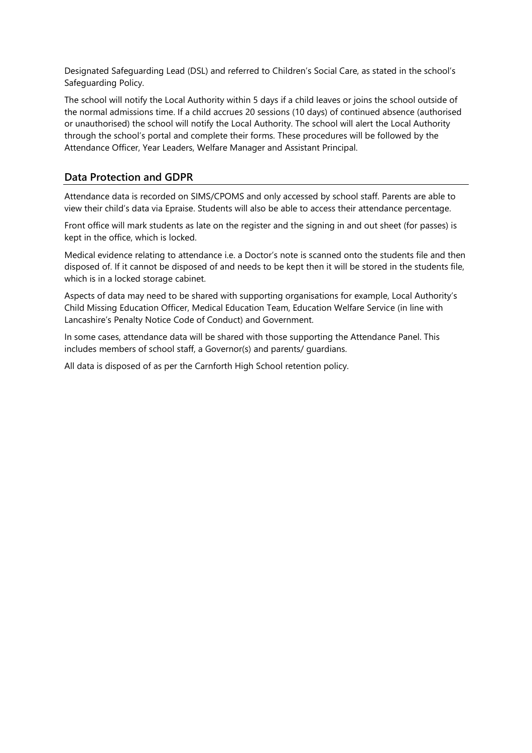Designated Safeguarding Lead (DSL) and referred to Children's Social Care, as stated in the school's Safeguarding Policy.

The school will notify the Local Authority within 5 days if a child leaves or joins the school outside of the normal admissions time. If a child accrues 20 sessions (10 days) of continued absence (authorised or unauthorised) the school will notify the Local Authority. The school will alert the Local Authority through the school's portal and complete their forms. These procedures will be followed by the Attendance Officer, Year Leaders, Welfare Manager and Assistant Principal.

# **Data Protection and GDPR**

Attendance data is recorded on SIMS/CPOMS and only accessed by school staff. Parents are able to view their child's data via Epraise. Students will also be able to access their attendance percentage.

Front office will mark students as late on the register and the signing in and out sheet (for passes) is kept in the office, which is locked.

Medical evidence relating to attendance i.e. a Doctor's note is scanned onto the students file and then disposed of. If it cannot be disposed of and needs to be kept then it will be stored in the students file, which is in a locked storage cabinet.

Aspects of data may need to be shared with supporting organisations for example, Local Authority's Child Missing Education Officer, Medical Education Team, Education Welfare Service (in line with Lancashire's Penalty Notice Code of Conduct) and Government.

In some cases, attendance data will be shared with those supporting the Attendance Panel. This includes members of school staff, a Governor(s) and parents/ guardians.

All data is disposed of as per the Carnforth High School retention policy.